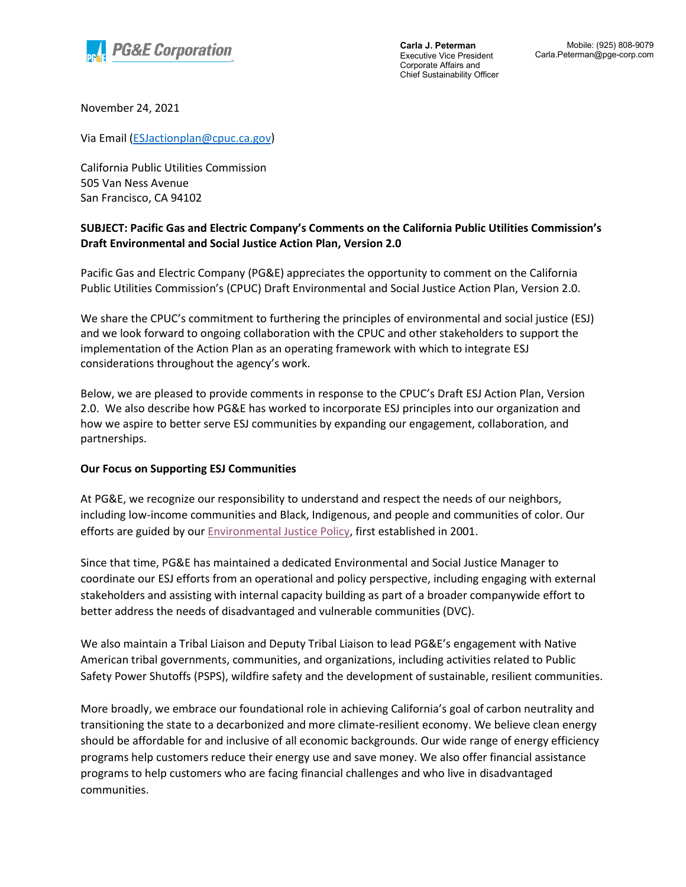

**Carla J. Peterman** Executive Vice President Corporate Affairs and Chief Sustainability Officer

November 24, 2021

Via Email [\(ESJactionplan@cpuc.ca.gov\)](mailto:ESJactionplan@cpuc.ca.gov)

California Public Utilities Commission 505 Van Ness Avenue San Francisco, CA 94102

## **SUBJECT: Pacific Gas and Electric Company's Comments on the California Public Utilities Commission's Draft Environmental and Social Justice Action Plan, Version 2.0**

Pacific Gas and Electric Company (PG&E) appreciates the opportunity to comment on the California Public Utilities Commission's (CPUC) Draft Environmental and Social Justice Action Plan, Version 2.0.

We share the CPUC's commitment to furthering the principles of environmental and social justice (ESJ) and we look forward to ongoing collaboration with the CPUC and other stakeholders to support the implementation of the Action Plan as an operating framework with which to integrate ESJ considerations throughout the agency's work.

Below, we are pleased to provide comments in response to the CPUC's Draft ESJ Action Plan, Version 2.0. We also describe how PG&E has worked to incorporate ESJ principles into our organization and how we aspire to better serve ESJ communities by expanding our engagement, collaboration, and partnerships.

## **Our Focus on Supporting ESJ Communities**

At PG&E, we recognize our responsibility to understand and respect the needs of our neighbors, including low-income communities and Black, Indigenous, and people and communities of color. Our efforts are guided by our [Environmental Justice Policy,](https://www.pge.com/includes/docs/pdfs/about/environment/pge_ej_policy.pdf) first established in 2001.

Since that time, PG&E has maintained a dedicated Environmental and Social Justice Manager to coordinate our ESJ efforts from an operational and policy perspective, including engaging with external stakeholders and assisting with internal capacity building as part of a broader companywide effort to better address the needs of disadvantaged and vulnerable communities (DVC).

We also maintain a Tribal Liaison and Deputy Tribal Liaison to lead PG&E's engagement with Native American tribal governments, communities, and organizations, including activities related to Public Safety Power Shutoffs (PSPS), wildfire safety and the development of sustainable, resilient communities.

More broadly, we embrace our foundational role in achieving California's goal of carbon neutrality and transitioning the state to a decarbonized and more climate-resilient economy. We believe clean energy should be affordable for and inclusive of all economic backgrounds. Our wide range of energy efficiency programs help customers reduce their energy use and save money. We also offer financial assistance programs to help customers who are facing financial challenges and who live in disadvantaged communities.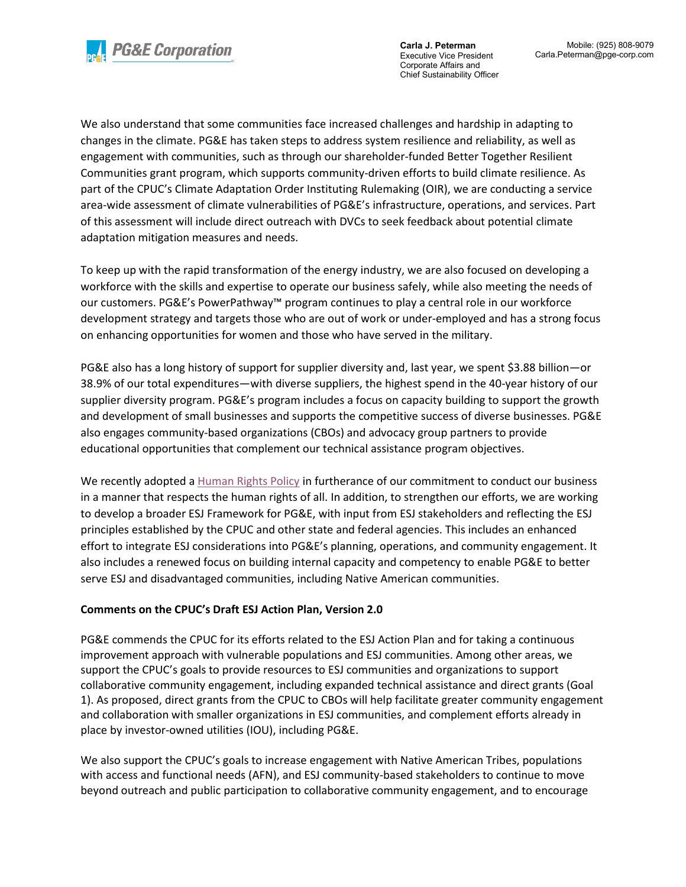

**Carla J. Peterman** Executive Vice President Corporate Affairs and Chief Sustainability Officer

We also understand that some communities face increased challenges and hardship in adapting to changes in the climate. PG&E has taken steps to address system resilience and reliability, as well as engagement with communities, such as through our shareholder-funded Better Together Resilient Communities grant program, which supports community-driven efforts to build climate resilience. As part of the CPUC's Climate Adaptation Order Instituting Rulemaking (OIR), we are conducting a service area-wide assessment of climate vulnerabilities of PG&E's infrastructure, operations, and services. Part of this assessment will include direct outreach with DVCs to seek feedback about potential climate adaptation mitigation measures and needs.

To keep up with the rapid transformation of the energy industry, we are also focused on developing a workforce with the skills and expertise to operate our business safely, while also meeting the needs of our customers. PG&E's PowerPathway™ program continues to play a central role in our workforce development strategy and targets those who are out of work or under-employed and has a strong focus on enhancing opportunities for women and those who have served in the military.

PG&E also has a long history of support for supplier diversity and, last year, we spent \$3.88 billion—or 38.9% of our total expenditures—with diverse suppliers, the highest spend in the 40-year history of our supplier diversity program. PG&E's program includes a focus on capacity building to support the growth and development of small businesses and supports the competitive success of diverse businesses. PG&E also engages community-based organizations (CBOs) and advocacy group partners to provide educational opportunities that complement our technical assistance program objectives.

We recently adopted [a Human Rights Policy](https://www.pgecorp.com/corp_responsibility/reports/2021/pe04_diversity.html#human_rights) in furtherance of our commitment to conduct our business in a manner that respects the human rights of all. In addition, to strengthen our efforts, we are working to develop a broader ESJ Framework for PG&E, with input from ESJ stakeholders and reflecting the ESJ principles established by the CPUC and other state and federal agencies. This includes an enhanced effort to integrate ESJ considerations into PG&E's planning, operations, and community engagement. It also includes a renewed focus on building internal capacity and competency to enable PG&E to better serve ESJ and disadvantaged communities, including Native American communities.

## **Comments on the CPUC's Draft ESJ Action Plan, Version 2.0**

PG&E commends the CPUC for its efforts related to the ESJ Action Plan and for taking a continuous improvement approach with vulnerable populations and ESJ communities. Among other areas, we support the CPUC's goals to provide resources to ESJ communities and organizations to support collaborative community engagement, including expanded technical assistance and direct grants (Goal 1). As proposed, direct grants from the CPUC to CBOs will help facilitate greater community engagement and collaboration with smaller organizations in ESJ communities, and complement efforts already in place by investor-owned utilities (IOU), including PG&E.

We also support the CPUC's goals to increase engagement with Native American Tribes, populations with access and functional needs (AFN), and ESJ community-based stakeholders to continue to move beyond outreach and public participation to collaborative community engagement, and to encourage